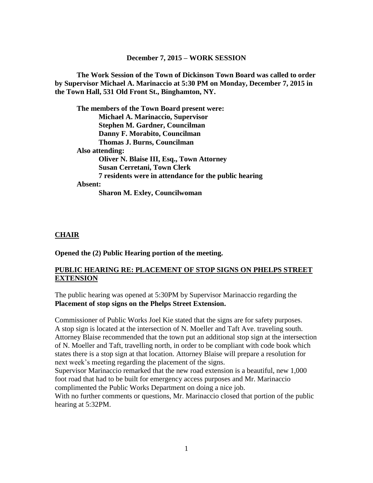#### **December 7, 2015 – WORK SESSION**

**The Work Session of the Town of Dickinson Town Board was called to order by Supervisor Michael A. Marinaccio at 5:30 PM on Monday, December 7, 2015 in the Town Hall, 531 Old Front St., Binghamton, NY.**

**The members of the Town Board present were: Michael A. Marinaccio, Supervisor Stephen M. Gardner, Councilman Danny F. Morabito, Councilman Thomas J. Burns, Councilman Also attending: Oliver N. Blaise III, Esq., Town Attorney Susan Cerretani, Town Clerk 7 residents were in attendance for the public hearing Absent: Sharon M. Exley, Councilwoman**

#### **CHAIR**

**Opened the (2) Public Hearing portion of the meeting.**

#### **PUBLIC HEARING RE: PLACEMENT OF STOP SIGNS ON PHELPS STREET EXTENSION**

The public hearing was opened at 5:30PM by Supervisor Marinaccio regarding the **Placement of stop signs on the Phelps Street Extension.** 

Commissioner of Public Works Joel Kie stated that the signs are for safety purposes. A stop sign is located at the intersection of N. Moeller and Taft Ave. traveling south. Attorney Blaise recommended that the town put an additional stop sign at the intersection of N. Moeller and Taft, travelling north, in order to be compliant with code book which states there is a stop sign at that location. Attorney Blaise will prepare a resolution for next week's meeting regarding the placement of the signs.

Supervisor Marinaccio remarked that the new road extension is a beautiful, new 1,000 foot road that had to be built for emergency access purposes and Mr. Marinaccio complimented the Public Works Department on doing a nice job.

With no further comments or questions, Mr. Marinaccio closed that portion of the public hearing at 5:32PM.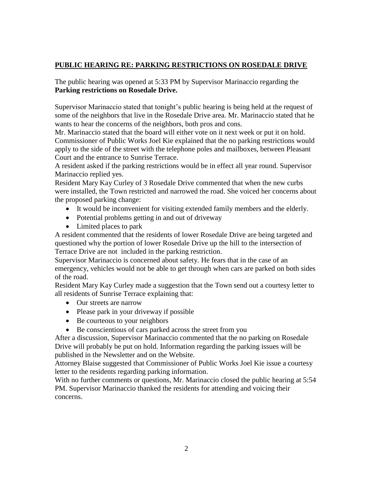## **PUBLIC HEARING RE: PARKING RESTRICTIONS ON ROSEDALE DRIVE**

The public hearing was opened at 5:33 PM by Supervisor Marinaccio regarding the **Parking restrictions on Rosedale Drive.**

Supervisor Marinaccio stated that tonight's public hearing is being held at the request of some of the neighbors that live in the Rosedale Drive area. Mr. Marinaccio stated that he wants to hear the concerns of the neighbors, both pros and cons.

Mr. Marinaccio stated that the board will either vote on it next week or put it on hold. Commissioner of Public Works Joel Kie explained that the no parking restrictions would apply to the side of the street with the telephone poles and mailboxes, between Pleasant Court and the entrance to Sunrise Terrace.

A resident asked if the parking restrictions would be in effect all year round. Supervisor Marinaccio replied yes.

Resident Mary Kay Curley of 3 Rosedale Drive commented that when the new curbs were installed, the Town restricted and narrowed the road. She voiced her concerns about the proposed parking change:

- It would be inconvenient for visiting extended family members and the elderly.
- Potential problems getting in and out of driveway
- Limited places to park

A resident commented that the residents of lower Rosedale Drive are being targeted and questioned why the portion of lower Rosedale Drive up the hill to the intersection of Terrace Drive are not included in the parking restriction.

Supervisor Marinaccio is concerned about safety. He fears that in the case of an emergency, vehicles would not be able to get through when cars are parked on both sides of the road.

Resident Mary Kay Curley made a suggestion that the Town send out a courtesy letter to all residents of Sunrise Terrace explaining that:

- Our streets are narrow
- Please park in your driveway if possible
- Be courteous to your neighbors
- Be conscientious of cars parked across the street from you

After a discussion, Supervisor Marinaccio commented that the no parking on Rosedale Drive will probably be put on hold. Information regarding the parking issues will be published in the Newsletter and on the Website.

Attorney Blaise suggested that Commissioner of Public Works Joel Kie issue a courtesy letter to the residents regarding parking information.

With no further comments or questions, Mr. Marinaccio closed the public hearing at 5:54 PM. Supervisor Marinaccio thanked the residents for attending and voicing their concerns.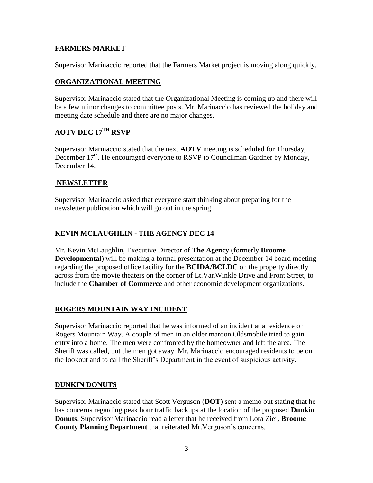#### **FARMERS MARKET**

Supervisor Marinaccio reported that the Farmers Market project is moving along quickly.

#### **ORGANIZATIONAL MEETING**

Supervisor Marinaccio stated that the Organizational Meeting is coming up and there will be a few minor changes to committee posts. Mr. Marinaccio has reviewed the holiday and meeting date schedule and there are no major changes.

# **AOTV DEC 17TH RSVP**

Supervisor Marinaccio stated that the next **AOTV** meeting is scheduled for Thursday, December  $17<sup>th</sup>$ . He encouraged everyone to RSVP to Councilman Gardner by Monday, December 14

## **NEWSLETTER**

Supervisor Marinaccio asked that everyone start thinking about preparing for the newsletter publication which will go out in the spring.

## **KEVIN MCLAUGHLIN - THE AGENCY DEC 14**

Mr. Kevin McLaughlin, Executive Director of **The Agency** (formerly **Broome Developmental**) will be making a formal presentation at the December 14 board meeting regarding the proposed office facility for the **BCIDA/BCLDC** on the property directly across from the movie theaters on the corner of Lt.VanWinkle Drive and Front Street, to include the **Chamber of Commerce** and other economic development organizations.

## **ROGERS MOUNTAIN WAY INCIDENT**

Supervisor Marinaccio reported that he was informed of an incident at a residence on Rogers Mountain Way. A couple of men in an older maroon Oldsmobile tried to gain entry into a home. The men were confronted by the homeowner and left the area. The Sheriff was called, but the men got away. Mr. Marinaccio encouraged residents to be on the lookout and to call the Sheriff's Department in the event of suspicious activity.

#### **DUNKIN DONUTS**

Supervisor Marinaccio stated that Scott Verguson (**DOT**) sent a memo out stating that he has concerns regarding peak hour traffic backups at the location of the proposed **Dunkin Donuts**. Supervisor Marinaccio read a letter that he received from Lora Zier, **Broome County Planning Department** that reiterated Mr.Verguson's concerns.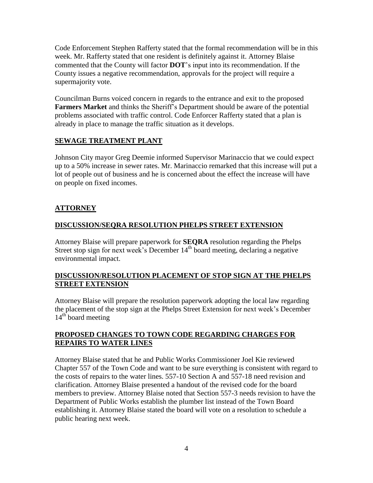Code Enforcement Stephen Rafferty stated that the formal recommendation will be in this week. Mr. Rafferty stated that one resident is definitely against it. Attorney Blaise commented that the County will factor **DOT**'s input into its recommendation. If the County issues a negative recommendation, approvals for the project will require a supermajority vote.

Councilman Burns voiced concern in regards to the entrance and exit to the proposed **Farmers Market** and thinks the Sheriff's Department should be aware of the potential problems associated with traffic control. Code Enforcer Rafferty stated that a plan is already in place to manage the traffic situation as it develops.

### **SEWAGE TREATMENT PLANT**

Johnson City mayor Greg Deemie informed Supervisor Marinaccio that we could expect up to a 50% increase in sewer rates. Mr. Marinaccio remarked that this increase will put a lot of people out of business and he is concerned about the effect the increase will have on people on fixed incomes.

# **ATTORNEY**

## **DISCUSSION/SEQRA RESOLUTION PHELPS STREET EXTENSION**

Attorney Blaise will prepare paperwork for **SEQRA** resolution regarding the Phelps Street stop sign for next week's December  $14<sup>th</sup>$  board meeting, declaring a negative environmental impact.

### **DISCUSSION/RESOLUTION PLACEMENT OF STOP SIGN AT THE PHELPS STREET EXTENSION**

Attorney Blaise will prepare the resolution paperwork adopting the local law regarding the placement of the stop sign at the Phelps Street Extension for next week's December  $14<sup>th</sup>$  board meeting

### **PROPOSED CHANGES TO TOWN CODE REGARDING CHARGES FOR REPAIRS TO WATER LINES**

Attorney Blaise stated that he and Public Works Commissioner Joel Kie reviewed Chapter 557 of the Town Code and want to be sure everything is consistent with regard to the costs of repairs to the water lines. 557-10 Section A and 557-18 need revision and clarification. Attorney Blaise presented a handout of the revised code for the board members to preview. Attorney Blaise noted that Section 557-3 needs revision to have the Department of Public Works establish the plumber list instead of the Town Board establishing it. Attorney Blaise stated the board will vote on a resolution to schedule a public hearing next week.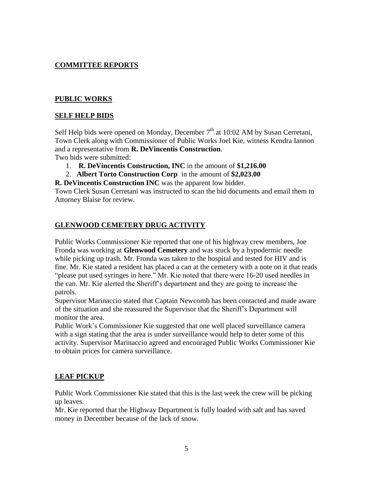## **COMMITTEE REPORTS**

#### **PUBLIC WORKS**

#### **SELF HELP BIDS**

Self Help bids were opened on Monday, December  $7<sup>th</sup>$  at 10:02 AM by Susan Cerretani, Town Clerk along with Commissioner of Public Works Joel Kie, witness Kendra Iannon and a representative from **R. DeVincentis Construction**.

Two bids were submitted:

- 1. **R. DeVincentis Construction, INC** in the amount of **\$1,216.00**
- 2. **Albert Torto Construction Corp** in the amount of **\$2,023.00**
- **R. DeVincentis Construction INC** was the apparent low bidder.

Town Clerk Susan Cerretani was instructed to scan the bid documents and email them to Attorney Blaise for review.

#### **GLENWOOD CEMETERY DRUG ACTIVITY**

Public Works Commissioner Kie reported that one of his highway crew members, Joe Fronda was working at **Glenwood Cemetery** and was stuck by a hypodermic needle while picking up trash. Mr. Fronda was taken to the hospital and tested for HIV and is fine. Mr. Kie stated a resident has placed a can at the cemetery with a note on it that reads "please put used syringes in here." Mr. Kie noted that there were 16-20 used needles in the can. Mr. Kie alerted the Sheriff's department and they are going to increase the patrols.

Supervisor Marinaccio stated that Captain Newcomb has been contacted and made aware of the situation and she reassured the Supervisor that the Sheriff's Department will monitor the area.

Public Work's Commissioner Kie suggested that one well placed surveillance camera with a sign stating that the area is under surveillance would help to deter some of this activity. Supervisor Marinaccio agreed and encouraged Public Works Commissioner Kie to obtain prices for camera surveillance.

#### **LEAF PICKUP**

Public Work Commissioner Kie stated that this is the last week the crew will be picking up leaves.

Mr. Kie reported that the Highway Department is fully loaded with salt and has saved money in December because of the lack of snow.